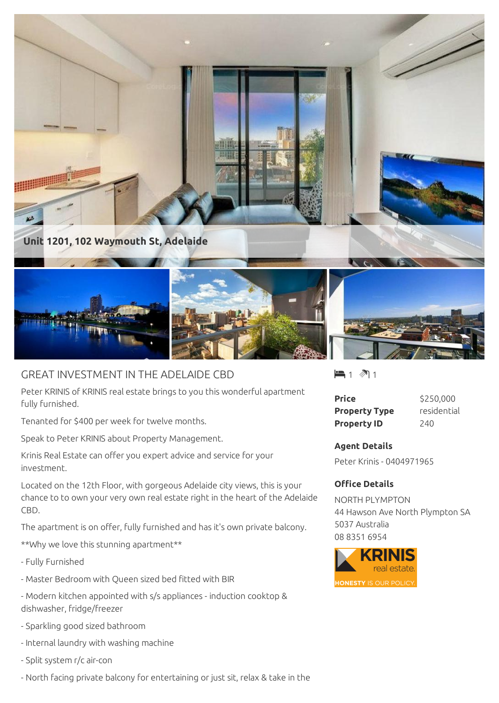

## GREAT INVESTMENT IN THE ADELAIDE CBD

Peter KRINIS of KRINIS real estate brings to you this wonderful apartment fully furnished.

Tenanted for \$400 per week for twelve months.

Speak to Peter KRINIS about Property Management.

Krinis Real Estate can offer you expert advice and service for your investment.

Located on the 12th Floor, with gorgeous Adelaide city views, this is your chance to to own your very own real estate right in the heart of the Adelaide CBD.

The apartment is on offer, fully furnished and has it's own private balcony.

\*\*Why we love this stunning apartment\*\*

- Fully Furnished
- Master Bedroom with Queen sized bed fitted with BIR
- Modern kitchen appointed with s/s appliances induction cooktop & dishwasher, fridge/freezer
- Sparkling good sized bathroom
- Internal laundry with washing machine
- Split system r/c air-con
- North facing private balcony for entertaining or just sit, relax & take in the

 $-1$   $\mathbb{1}$  1

| Price                | \$250,000   |
|----------------------|-------------|
| <b>Property Type</b> | residential |
| <b>Property ID</b>   | 240         |

## **Agent Details**

Peter Krinis - 0404971965

## **Office Details**

NORTH PLYMPTON 44 Hawson Ave North Plympton SA 5037 Australia 08 8351 6954